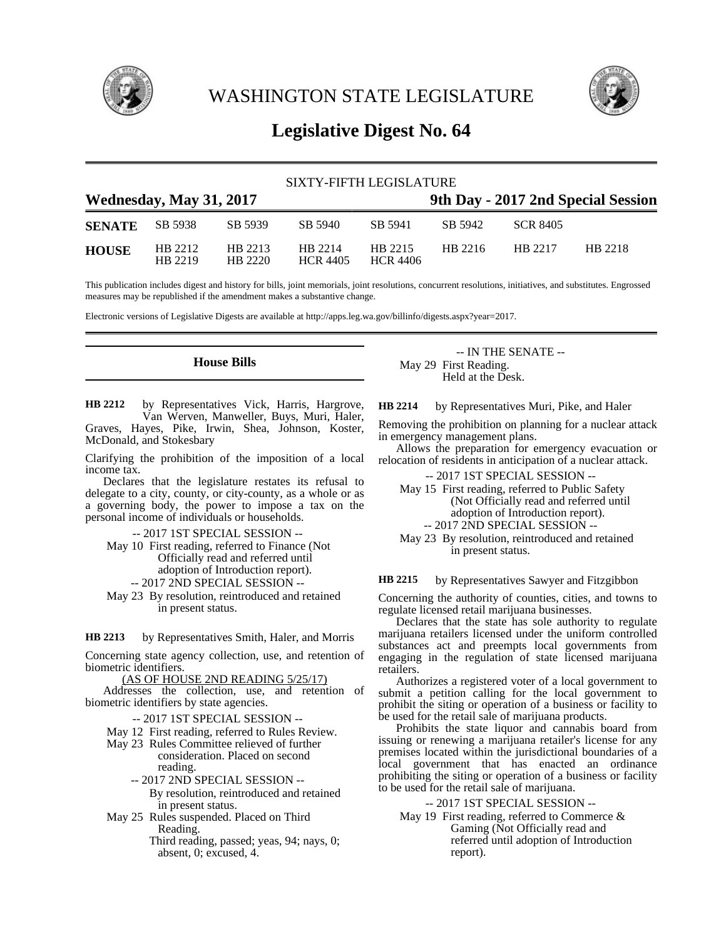

WASHINGTON STATE LEGISLATURE



# **Legislative Digest No. 64**

| SIXTY-FIFTH LEGISLATURE |                    |                    |                            |                            |                                    |          |         |  |
|-------------------------|--------------------|--------------------|----------------------------|----------------------------|------------------------------------|----------|---------|--|
| Wednesday, May 31, 2017 |                    |                    |                            |                            | 9th Day - 2017 2nd Special Session |          |         |  |
| <b>SENATE</b>           | SB 5938            | SB 5939            | SB 5940                    | SB 5941                    | SB 5942                            | SCR 8405 |         |  |
| <b>HOUSE</b>            | HB 2212<br>HB 2219 | HB 2213<br>HB 2220 | HB 2214<br><b>HCR 4405</b> | HB 2215<br><b>HCR 4406</b> | HB 2216                            | HB 2217  | HB 2218 |  |

This publication includes digest and history for bills, joint memorials, joint resolutions, concurrent resolutions, initiatives, and substitutes. Engrossed measures may be republished if the amendment makes a substantive change.

Electronic versions of Legislative Digests are available at http://apps.leg.wa.gov/billinfo/digests.aspx?year=2017.

**House Bills**

by Representatives Vick, Harris, Hargrove, Van Werven, Manweller, Buys, Muri, Haler, Graves, Hayes, Pike, Irwin, Shea, Johnson, Koster, McDonald, and Stokesbary **HB 2212**

Clarifying the prohibition of the imposition of a local income tax.

Declares that the legislature restates its refusal to delegate to a city, county, or city-county, as a whole or as a governing body, the power to impose a tax on the personal income of individuals or households.

-- 2017 1ST SPECIAL SESSION --

May 10 First reading, referred to Finance (Not Officially read and referred until

adoption of Introduction report).

-- 2017 2ND SPECIAL SESSION --

May 23 By resolution, reintroduced and retained in present status.

by Representatives Smith, Haler, and Morris **HB 2213**

Concerning state agency collection, use, and retention of biometric identifiers.

(AS OF HOUSE 2ND READING 5/25/17)

Addresses the collection, use, and retention of biometric identifiers by state agencies.

-- 2017 1ST SPECIAL SESSION --

May 12 First reading, referred to Rules Review.

- May 23 Rules Committee relieved of further consideration. Placed on second reading.
	- -- 2017 2ND SPECIAL SESSION --

By resolution, reintroduced and retained in present status.

May 25 Rules suspended. Placed on Third Reading.

Third reading, passed; yeas, 94; nays, 0; absent, 0; excused, 4.

-- IN THE SENATE -- May 29 First Reading. Held at the Desk.

by Representatives Muri, Pike, and Haler **HB 2214**

Removing the prohibition on planning for a nuclear attack in emergency management plans.

Allows the preparation for emergency evacuation or relocation of residents in anticipation of a nuclear attack.

-- 2017 1ST SPECIAL SESSION --

May 15 First reading, referred to Public Safety (Not Officially read and referred until adoption of Introduction report). -- 2017 2ND SPECIAL SESSION --

May 23 By resolution, reintroduced and retained in present status.

by Representatives Sawyer and Fitzgibbon **HB 2215**

Concerning the authority of counties, cities, and towns to regulate licensed retail marijuana businesses.

Declares that the state has sole authority to regulate marijuana retailers licensed under the uniform controlled substances act and preempts local governments from engaging in the regulation of state licensed marijuana retailers.

Authorizes a registered voter of a local government to submit a petition calling for the local government to prohibit the siting or operation of a business or facility to be used for the retail sale of marijuana products.

Prohibits the state liquor and cannabis board from issuing or renewing a marijuana retailer's license for any premises located within the jurisdictional boundaries of a local government that has enacted an ordinance prohibiting the siting or operation of a business or facility to be used for the retail sale of marijuana.

-- 2017 1ST SPECIAL SESSION --

May 19 First reading, referred to Commerce & Gaming (Not Officially read and referred until adoption of Introduction report).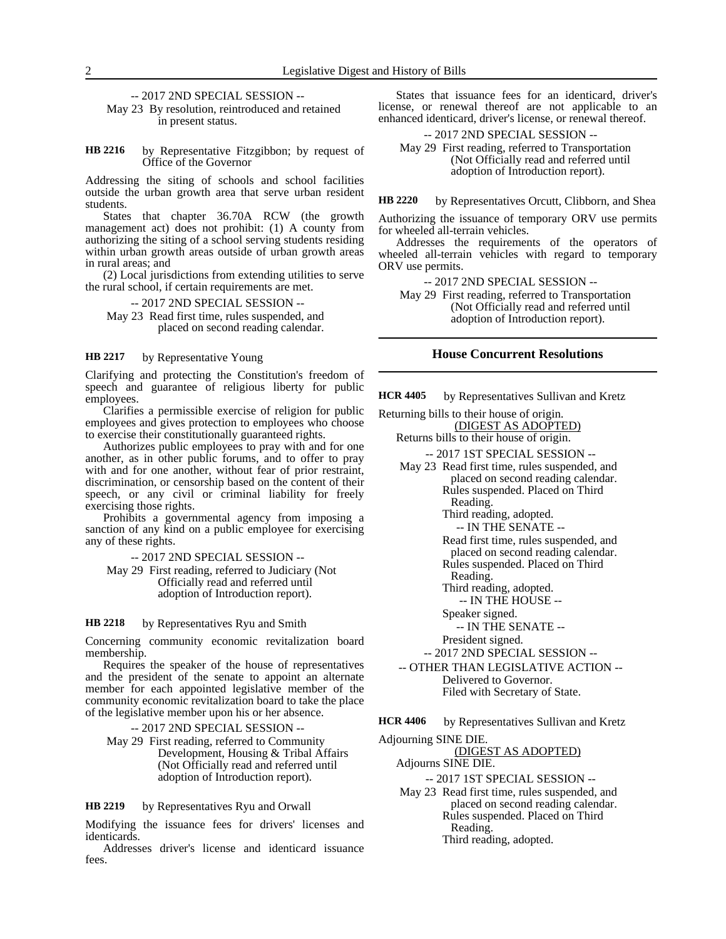-- 2017 2ND SPECIAL SESSION --

May 23 By resolution, reintroduced and retained in present status.

by Representative Fitzgibbon; by request of Office of the Governor **HB 2216**

Addressing the siting of schools and school facilities outside the urban growth area that serve urban resident students.

States that chapter 36.70A RCW (the growth management act) does not prohibit: (1) A county from authorizing the siting of a school serving students residing within urban growth areas outside of urban growth areas in rural areas; and

(2) Local jurisdictions from extending utilities to serve the rural school, if certain requirements are met.

-- 2017 2ND SPECIAL SESSION --

May 23 Read first time, rules suspended, and placed on second reading calendar.

#### by Representative Young **HB 2217**

Clarifying and protecting the Constitution's freedom of speech and guarantee of religious liberty for public employees.

Clarifies a permissible exercise of religion for public employees and gives protection to employees who choose to exercise their constitutionally guaranteed rights.

Authorizes public employees to pray with and for one another, as in other public forums, and to offer to pray with and for one another, without fear of prior restraint, discrimination, or censorship based on the content of their speech, or any civil or criminal liability for freely exercising those rights.

Prohibits a governmental agency from imposing a sanction of any kind on a public employee for exercising any of these rights.

-- 2017 2ND SPECIAL SESSION --

May 29 First reading, referred to Judiciary (Not Officially read and referred until adoption of Introduction report).

#### by Representatives Ryu and Smith **HB 2218**

Concerning community economic revitalization board membership.

Requires the speaker of the house of representatives and the president of the senate to appoint an alternate member for each appointed legislative member of the community economic revitalization board to take the place of the legislative member upon his or her absence.

-- 2017 2ND SPECIAL SESSION -- May 29 First reading, referred to Community Development, Housing & Tribal Affairs (Not Officially read and referred until adoption of Introduction report).

by Representatives Ryu and Orwall **HB 2219**

Modifying the issuance fees for drivers' licenses and identicards.

Addresses driver's license and identicard issuance fees.

States that issuance fees for an identicard, driver's license, or renewal thereof are not applicable to an enhanced identicard, driver's license, or renewal thereof.

-- 2017 2ND SPECIAL SESSION -- May 29 First reading, referred to Transportation (Not Officially read and referred until adoption of Introduction report).

by Representatives Orcutt, Clibborn, and Shea **HB 2220**

Authorizing the issuance of temporary ORV use permits for wheeled all-terrain vehicles.

Addresses the requirements of the operators of wheeled all-terrain vehicles with regard to temporary ORV use permits.

-- 2017 2ND SPECIAL SESSION --

May 29 First reading, referred to Transportation (Not Officially read and referred until adoption of Introduction report).

### **House Concurrent Resolutions**

by Representatives Sullivan and Kretz **HCR 4405**

Returning bills to their house of origin. (DIGEST AS ADOPTED)

Returns bills to their house of origin. -- 2017 1ST SPECIAL SESSION --

May 23 Read first time, rules suspended, and placed on second reading calendar. Rules suspended. Placed on Third

> Reading. Third reading, adopted.

-- IN THE SENATE --

Read first time, rules suspended, and placed on second reading calendar. Rules suspended. Placed on Third

Reading.

Third reading, adopted.

-- IN THE HOUSE --

- Speaker signed.
- -- IN THE SENATE --

President signed.

-- 2017 2ND SPECIAL SESSION --

-- OTHER THAN LEGISLATIVE ACTION -- Delivered to Governor. Filed with Secretary of State.

by Representatives Sullivan and Kretz **HCR 4406**

Adjourning SINE DIE.

(DIGEST AS ADOPTED) Adjourns SINE DIE.

-- 2017 1ST SPECIAL SESSION -- May 23 Read first time, rules suspended, and placed on second reading calendar. Rules suspended. Placed on Third Reading. Third reading, adopted.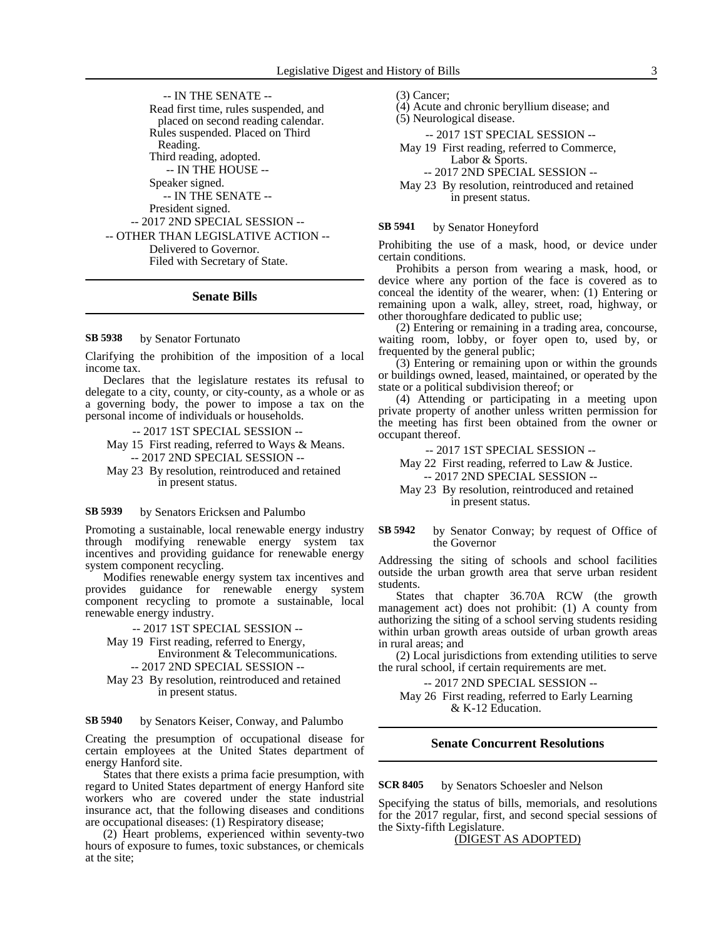-- IN THE SENATE -- Read first time, rules suspended, and placed on second reading calendar. Rules suspended. Placed on Third Reading. Third reading, adopted. -- IN THE HOUSE -- Speaker signed. -- IN THE SENATE -- President signed. -- 2017 2ND SPECIAL SESSION -- -- OTHER THAN LEGISLATIVE ACTION -- Delivered to Governor. Filed with Secretary of State.

### **Senate Bills**

by Senator Fortunato **SB 5938**

Clarifying the prohibition of the imposition of a local income tax.

Declares that the legislature restates its refusal to delegate to a city, county, or city-county, as a whole or as a governing body, the power to impose a tax on the personal income of individuals or households.

-- 2017 1ST SPECIAL SESSION --

- May 15 First reading, referred to Ways & Means. -- 2017 2ND SPECIAL SESSION --
- May 23 By resolution, reintroduced and retained in present status.

#### by Senators Ericksen and Palumbo **SB 5939**

Promoting a sustainable, local renewable energy industry through modifying renewable energy system tax incentives and providing guidance for renewable energy system component recycling.

Modifies renewable energy system tax incentives and provides guidance for renewable energy system component recycling to promote a sustainable, local renewable energy industry.

-- 2017 1ST SPECIAL SESSION --

### May 19 First reading, referred to Energy, Environment & Telecommunications. -- 2017 2ND SPECIAL SESSION --

May 23 By resolution, reintroduced and retained in present status.

#### by Senators Keiser, Conway, and Palumbo **SB 5940**

Creating the presumption of occupational disease for certain employees at the United States department of energy Hanford site.

States that there exists a prima facie presumption, with regard to United States department of energy Hanford site workers who are covered under the state industrial insurance act, that the following diseases and conditions are occupational diseases: (1) Respiratory disease;

(2) Heart problems, experienced within seventy-two hours of exposure to fumes, toxic substances, or chemicals at the site;

(3) Cancer;

- (4) Acute and chronic beryllium disease; and
- (5) Neurological disease.

-- 2017 1ST SPECIAL SESSION --

May 19 First reading, referred to Commerce, Labor & Sports.

-- 2017 2ND SPECIAL SESSION --

May 23 By resolution, reintroduced and retained in present status.

by Senator Honeyford **SB 5941**

Prohibiting the use of a mask, hood, or device under certain conditions.

Prohibits a person from wearing a mask, hood, or device where any portion of the face is covered as to conceal the identity of the wearer, when: (1) Entering or remaining upon a walk, alley, street, road, highway, or other thoroughfare dedicated to public use;

(2) Entering or remaining in a trading area, concourse, waiting room, lobby, or foyer open to, used by, or frequented by the general public;

(3) Entering or remaining upon or within the grounds or buildings owned, leased, maintained, or operated by the state or a political subdivision thereof; or

(4) Attending or participating in a meeting upon private property of another unless written permission for the meeting has first been obtained from the owner or occupant thereof.

### -- 2017 1ST SPECIAL SESSION --

May 22 First reading, referred to Law & Justice. -- 2017 2ND SPECIAL SESSION --

May 23 By resolution, reintroduced and retained in present status.

### by Senator Conway; by request of Office of the Governor **SB 5942**

Addressing the siting of schools and school facilities outside the urban growth area that serve urban resident students.

States that chapter 36.70A RCW (the growth management act) does not prohibit: (1) A county from authorizing the siting of a school serving students residing within urban growth areas outside of urban growth areas in rural areas; and

(2) Local jurisdictions from extending utilities to serve the rural school, if certain requirements are met.

-- 2017 2ND SPECIAL SESSION --

May 26 First reading, referred to Early Learning & K-12 Education.

## **Senate Concurrent Resolutions**

by Senators Schoesler and Nelson **SCR 8405**

Specifying the status of bills, memorials, and resolutions for the 2017 regular, first, and second special sessions of the Sixty-fifth Legislature.

(DIGEST AS ADOPTED)